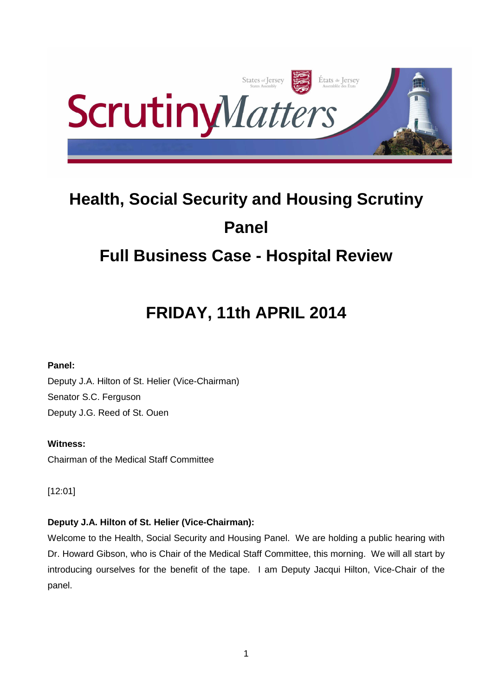

# **Health, Social Security and Housing Scrutiny Panel**

# **Full Business Case - Hospital Review**

# **FRIDAY, 11th APRIL 2014**

# **Panel:**

Deputy J.A. Hilton of St. Helier (Vice-Chairman) Senator S.C. Ferguson Deputy J.G. Reed of St. Ouen

# **Witness:**

Chairman of the Medical Staff Committee

[12:01]

# **Deputy J.A. Hilton of St. Helier (Vice-Chairman):**

Welcome to the Health, Social Security and Housing Panel. We are holding a public hearing with Dr. Howard Gibson, who is Chair of the Medical Staff Committee, this morning. We will all start by introducing ourselves for the benefit of the tape. I am Deputy Jacqui Hilton, Vice-Chair of the panel.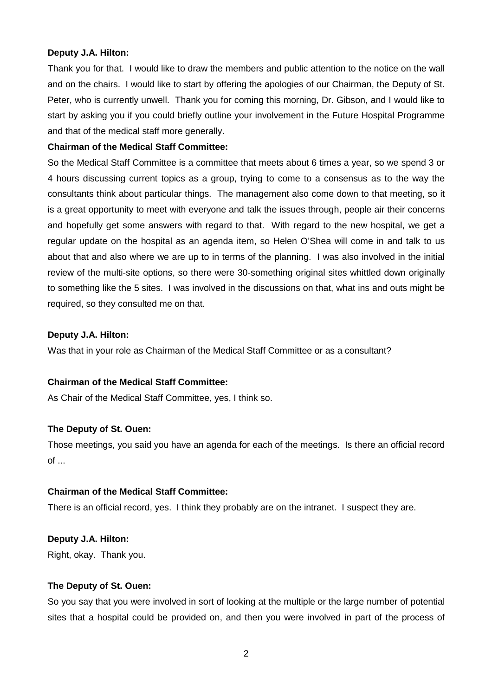# **Deputy J.A. Hilton:**

Thank you for that. I would like to draw the members and public attention to the notice on the wall and on the chairs. I would like to start by offering the apologies of our Chairman, the Deputy of St. Peter, who is currently unwell. Thank you for coming this morning, Dr. Gibson, and I would like to start by asking you if you could briefly outline your involvement in the Future Hospital Programme and that of the medical staff more generally.

# **Chairman of the Medical Staff Committee:**

So the Medical Staff Committee is a committee that meets about 6 times a year, so we spend 3 or 4 hours discussing current topics as a group, trying to come to a consensus as to the way the consultants think about particular things. The management also come down to that meeting, so it is a great opportunity to meet with everyone and talk the issues through, people air their concerns and hopefully get some answers with regard to that. With regard to the new hospital, we get a regular update on the hospital as an agenda item, so Helen O'Shea will come in and talk to us about that and also where we are up to in terms of the planning. I was also involved in the initial review of the multi-site options, so there were 30-something original sites whittled down originally to something like the 5 sites. I was involved in the discussions on that, what ins and outs might be required, so they consulted me on that.

# **Deputy J.A. Hilton:**

Was that in your role as Chairman of the Medical Staff Committee or as a consultant?

# **Chairman of the Medical Staff Committee:**

As Chair of the Medical Staff Committee, yes, I think so.

# **The Deputy of St. Ouen:**

Those meetings, you said you have an agenda for each of the meetings. Is there an official record  $of \dots$ 

# **Chairman of the Medical Staff Committee:**

There is an official record, yes. I think they probably are on the intranet. I suspect they are.

# **Deputy J.A. Hilton:**

Right, okay. Thank you.

# **The Deputy of St. Ouen:**

So you say that you were involved in sort of looking at the multiple or the large number of potential sites that a hospital could be provided on, and then you were involved in part of the process of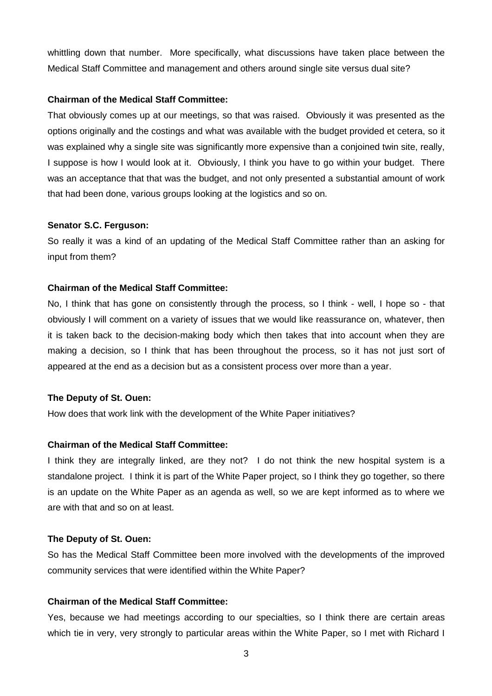whittling down that number. More specifically, what discussions have taken place between the Medical Staff Committee and management and others around single site versus dual site?

#### **Chairman of the Medical Staff Committee:**

That obviously comes up at our meetings, so that was raised. Obviously it was presented as the options originally and the costings and what was available with the budget provided et cetera, so it was explained why a single site was significantly more expensive than a conjoined twin site, really, I suppose is how I would look at it. Obviously, I think you have to go within your budget. There was an acceptance that that was the budget, and not only presented a substantial amount of work that had been done, various groups looking at the logistics and so on.

#### **Senator S.C. Ferguson:**

So really it was a kind of an updating of the Medical Staff Committee rather than an asking for input from them?

# **Chairman of the Medical Staff Committee:**

No, I think that has gone on consistently through the process, so I think - well, I hope so - that obviously I will comment on a variety of issues that we would like reassurance on, whatever, then it is taken back to the decision-making body which then takes that into account when they are making a decision, so I think that has been throughout the process, so it has not just sort of appeared at the end as a decision but as a consistent process over more than a year.

#### **The Deputy of St. Ouen:**

How does that work link with the development of the White Paper initiatives?

#### **Chairman of the Medical Staff Committee:**

I think they are integrally linked, are they not? I do not think the new hospital system is a standalone project. I think it is part of the White Paper project, so I think they go together, so there is an update on the White Paper as an agenda as well, so we are kept informed as to where we are with that and so on at least.

#### **The Deputy of St. Ouen:**

So has the Medical Staff Committee been more involved with the developments of the improved community services that were identified within the White Paper?

# **Chairman of the Medical Staff Committee:**

Yes, because we had meetings according to our specialties, so I think there are certain areas which tie in very, very strongly to particular areas within the White Paper, so I met with Richard I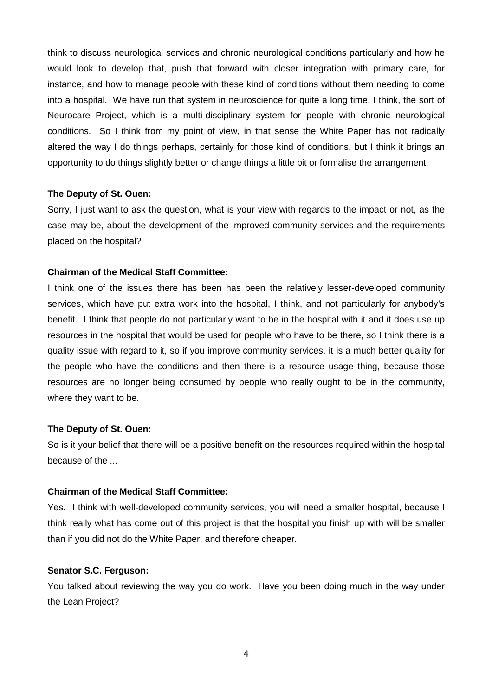think to discuss neurological services and chronic neurological conditions particularly and how he would look to develop that, push that forward with closer integration with primary care, for instance, and how to manage people with these kind of conditions without them needing to come into a hospital. We have run that system in neuroscience for quite a long time, I think, the sort of Neurocare Project, which is a multi-disciplinary system for people with chronic neurological conditions. So I think from my point of view, in that sense the White Paper has not radically altered the way I do things perhaps, certainly for those kind of conditions, but I think it brings an opportunity to do things slightly better or change things a little bit or formalise the arrangement.

#### **The Deputy of St. Ouen:**

Sorry, I just want to ask the question, what is your view with regards to the impact or not, as the case may be, about the development of the improved community services and the requirements placed on the hospital?

#### **Chairman of the Medical Staff Committee:**

I think one of the issues there has been has been the relatively lesser-developed community services, which have put extra work into the hospital, I think, and not particularly for anybody's benefit. I think that people do not particularly want to be in the hospital with it and it does use up resources in the hospital that would be used for people who have to be there, so I think there is a quality issue with regard to it, so if you improve community services, it is a much better quality for the people who have the conditions and then there is a resource usage thing, because those resources are no longer being consumed by people who really ought to be in the community, where they want to be.

#### **The Deputy of St. Ouen:**

So is it your belief that there will be a positive benefit on the resources required within the hospital because of the ...

#### **Chairman of the Medical Staff Committee:**

Yes. I think with well-developed community services, you will need a smaller hospital, because I think really what has come out of this project is that the hospital you finish up with will be smaller than if you did not do the White Paper, and therefore cheaper.

#### **Senator S.C. Ferguson:**

You talked about reviewing the way you do work. Have you been doing much in the way under the Lean Project?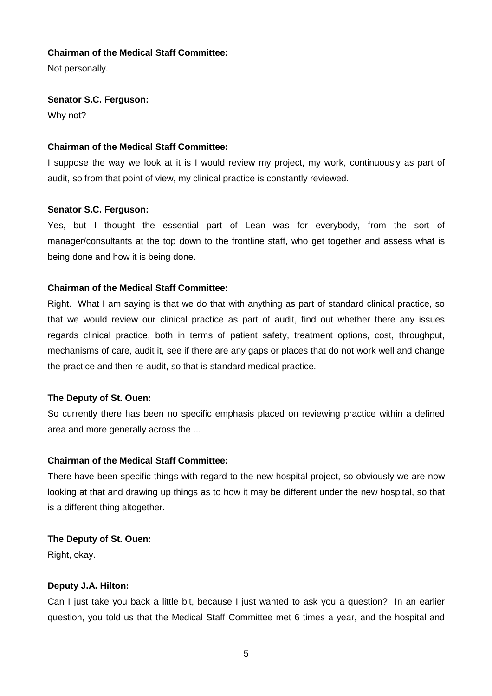Not personally.

# **Senator S.C. Ferguson:**

Why not?

# **Chairman of the Medical Staff Committee:**

I suppose the way we look at it is I would review my project, my work, continuously as part of audit, so from that point of view, my clinical practice is constantly reviewed.

# **Senator S.C. Ferguson:**

Yes, but I thought the essential part of Lean was for everybody, from the sort of manager/consultants at the top down to the frontline staff, who get together and assess what is being done and how it is being done.

# **Chairman of the Medical Staff Committee:**

Right. What I am saying is that we do that with anything as part of standard clinical practice, so that we would review our clinical practice as part of audit, find out whether there any issues regards clinical practice, both in terms of patient safety, treatment options, cost, throughput, mechanisms of care, audit it, see if there are any gaps or places that do not work well and change the practice and then re-audit, so that is standard medical practice.

# **The Deputy of St. Ouen:**

So currently there has been no specific emphasis placed on reviewing practice within a defined area and more generally across the ...

# **Chairman of the Medical Staff Committee:**

There have been specific things with regard to the new hospital project, so obviously we are now looking at that and drawing up things as to how it may be different under the new hospital, so that is a different thing altogether.

# **The Deputy of St. Ouen:**

Right, okay.

# **Deputy J.A. Hilton:**

Can I just take you back a little bit, because I just wanted to ask you a question? In an earlier question, you told us that the Medical Staff Committee met 6 times a year, and the hospital and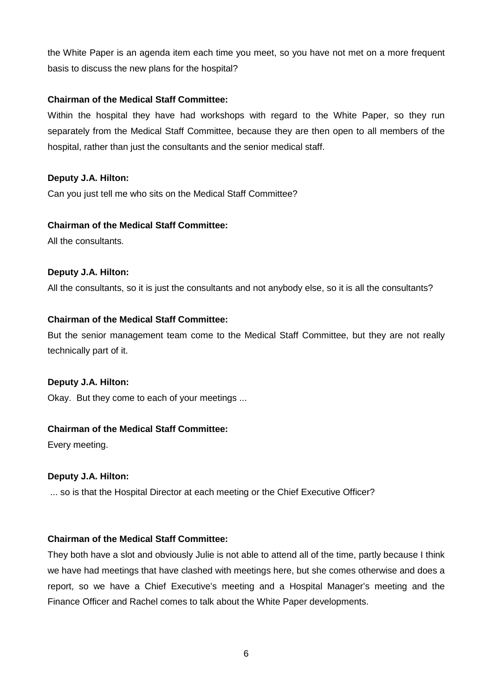the White Paper is an agenda item each time you meet, so you have not met on a more frequent basis to discuss the new plans for the hospital?

# **Chairman of the Medical Staff Committee:**

Within the hospital they have had workshops with regard to the White Paper, so they run separately from the Medical Staff Committee, because they are then open to all members of the hospital, rather than just the consultants and the senior medical staff.

# **Deputy J.A. Hilton:**

Can you just tell me who sits on the Medical Staff Committee?

# **Chairman of the Medical Staff Committee:**

All the consultants.

# **Deputy J.A. Hilton:**

All the consultants, so it is just the consultants and not anybody else, so it is all the consultants?

# **Chairman of the Medical Staff Committee:**

But the senior management team come to the Medical Staff Committee, but they are not really technically part of it.

# **Deputy J.A. Hilton:**

Okay. But they come to each of your meetings ...

# **Chairman of the Medical Staff Committee:**

Every meeting.

# **Deputy J.A. Hilton:**

... so is that the Hospital Director at each meeting or the Chief Executive Officer?

# **Chairman of the Medical Staff Committee:**

They both have a slot and obviously Julie is not able to attend all of the time, partly because I think we have had meetings that have clashed with meetings here, but she comes otherwise and does a report, so we have a Chief Executive's meeting and a Hospital Manager's meeting and the Finance Officer and Rachel comes to talk about the White Paper developments.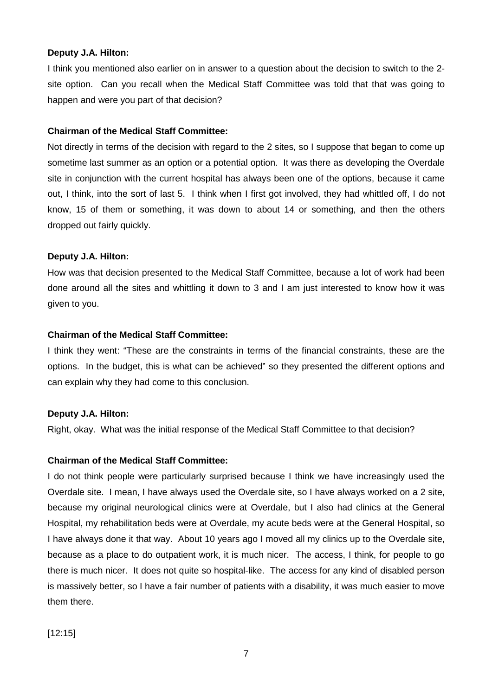# **Deputy J.A. Hilton:**

I think you mentioned also earlier on in answer to a question about the decision to switch to the 2 site option. Can you recall when the Medical Staff Committee was told that that was going to happen and were you part of that decision?

# **Chairman of the Medical Staff Committee:**

Not directly in terms of the decision with regard to the 2 sites, so I suppose that began to come up sometime last summer as an option or a potential option. It was there as developing the Overdale site in conjunction with the current hospital has always been one of the options, because it came out, I think, into the sort of last 5. I think when I first got involved, they had whittled off, I do not know, 15 of them or something, it was down to about 14 or something, and then the others dropped out fairly quickly.

#### **Deputy J.A. Hilton:**

How was that decision presented to the Medical Staff Committee, because a lot of work had been done around all the sites and whittling it down to 3 and I am just interested to know how it was given to you.

#### **Chairman of the Medical Staff Committee:**

I think they went: "These are the constraints in terms of the financial constraints, these are the options. In the budget, this is what can be achieved" so they presented the different options and can explain why they had come to this conclusion.

# **Deputy J.A. Hilton:**

Right, okay. What was the initial response of the Medical Staff Committee to that decision?

# **Chairman of the Medical Staff Committee:**

I do not think people were particularly surprised because I think we have increasingly used the Overdale site. I mean, I have always used the Overdale site, so I have always worked on a 2 site, because my original neurological clinics were at Overdale, but I also had clinics at the General Hospital, my rehabilitation beds were at Overdale, my acute beds were at the General Hospital, so I have always done it that way. About 10 years ago I moved all my clinics up to the Overdale site, because as a place to do outpatient work, it is much nicer. The access, I think, for people to go there is much nicer. It does not quite so hospital-like. The access for any kind of disabled person is massively better, so I have a fair number of patients with a disability, it was much easier to move them there.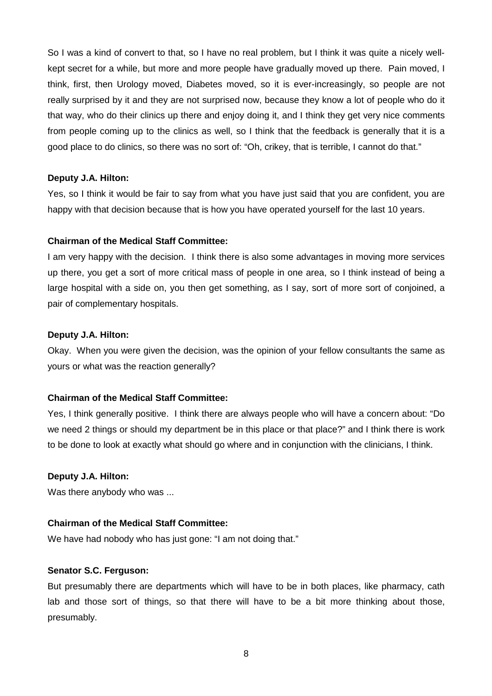So I was a kind of convert to that, so I have no real problem, but I think it was quite a nicely wellkept secret for a while, but more and more people have gradually moved up there. Pain moved, I think, first, then Urology moved, Diabetes moved, so it is ever-increasingly, so people are not really surprised by it and they are not surprised now, because they know a lot of people who do it that way, who do their clinics up there and enjoy doing it, and I think they get very nice comments from people coming up to the clinics as well, so I think that the feedback is generally that it is a good place to do clinics, so there was no sort of: "Oh, crikey, that is terrible, I cannot do that."

# **Deputy J.A. Hilton:**

Yes, so I think it would be fair to say from what you have just said that you are confident, you are happy with that decision because that is how you have operated yourself for the last 10 years.

# **Chairman of the Medical Staff Committee:**

I am very happy with the decision. I think there is also some advantages in moving more services up there, you get a sort of more critical mass of people in one area, so I think instead of being a large hospital with a side on, you then get something, as I say, sort of more sort of conjoined, a pair of complementary hospitals.

#### **Deputy J.A. Hilton:**

Okay. When you were given the decision, was the opinion of your fellow consultants the same as yours or what was the reaction generally?

# **Chairman of the Medical Staff Committee:**

Yes, I think generally positive. I think there are always people who will have a concern about: "Do we need 2 things or should my department be in this place or that place?" and I think there is work to be done to look at exactly what should go where and in conjunction with the clinicians, I think.

# **Deputy J.A. Hilton:**

Was there anybody who was ...

# **Chairman of the Medical Staff Committee:**

We have had nobody who has just gone: "I am not doing that."

#### **Senator S.C. Ferguson:**

But presumably there are departments which will have to be in both places, like pharmacy, cath lab and those sort of things, so that there will have to be a bit more thinking about those, presumably.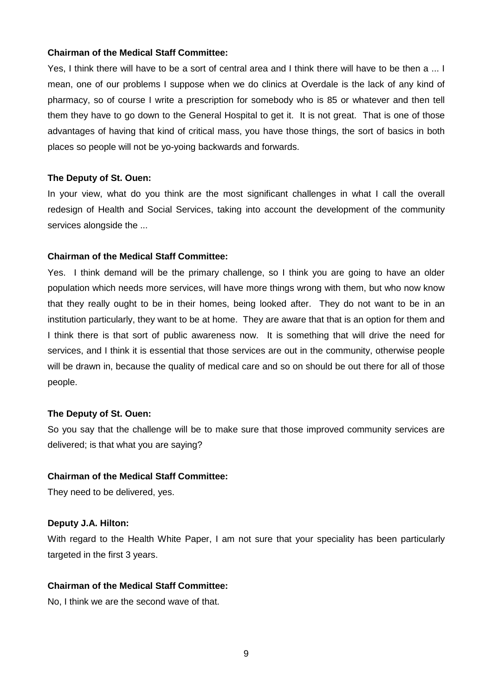Yes, I think there will have to be a sort of central area and I think there will have to be then a ... I mean, one of our problems I suppose when we do clinics at Overdale is the lack of any kind of pharmacy, so of course I write a prescription for somebody who is 85 or whatever and then tell them they have to go down to the General Hospital to get it. It is not great. That is one of those advantages of having that kind of critical mass, you have those things, the sort of basics in both places so people will not be yo-yoing backwards and forwards.

#### **The Deputy of St. Ouen:**

In your view, what do you think are the most significant challenges in what I call the overall redesign of Health and Social Services, taking into account the development of the community services alongside the ...

#### **Chairman of the Medical Staff Committee:**

Yes. I think demand will be the primary challenge, so I think you are going to have an older population which needs more services, will have more things wrong with them, but who now know that they really ought to be in their homes, being looked after. They do not want to be in an institution particularly, they want to be at home. They are aware that that is an option for them and I think there is that sort of public awareness now. It is something that will drive the need for services, and I think it is essential that those services are out in the community, otherwise people will be drawn in, because the quality of medical care and so on should be out there for all of those people.

#### **The Deputy of St. Ouen:**

So you say that the challenge will be to make sure that those improved community services are delivered; is that what you are saying?

#### **Chairman of the Medical Staff Committee:**

They need to be delivered, yes.

#### **Deputy J.A. Hilton:**

With regard to the Health White Paper, I am not sure that your speciality has been particularly targeted in the first 3 years.

# **Chairman of the Medical Staff Committee:**

No, I think we are the second wave of that.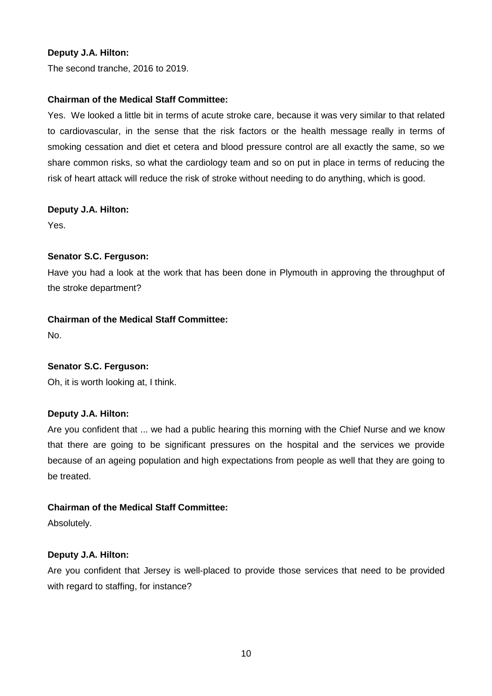# **Deputy J.A. Hilton:**

The second tranche, 2016 to 2019.

# **Chairman of the Medical Staff Committee:**

Yes. We looked a little bit in terms of acute stroke care, because it was very similar to that related to cardiovascular, in the sense that the risk factors or the health message really in terms of smoking cessation and diet et cetera and blood pressure control are all exactly the same, so we share common risks, so what the cardiology team and so on put in place in terms of reducing the risk of heart attack will reduce the risk of stroke without needing to do anything, which is good.

# **Deputy J.A. Hilton:**

Yes.

# **Senator S.C. Ferguson:**

Have you had a look at the work that has been done in Plymouth in approving the throughput of the stroke department?

# **Chairman of the Medical Staff Committee:**

No.

# **Senator S.C. Ferguson:**

Oh, it is worth looking at, I think.

# **Deputy J.A. Hilton:**

Are you confident that ... we had a public hearing this morning with the Chief Nurse and we know that there are going to be significant pressures on the hospital and the services we provide because of an ageing population and high expectations from people as well that they are going to be treated.

# **Chairman of the Medical Staff Committee:**

Absolutely.

# **Deputy J.A. Hilton:**

Are you confident that Jersey is well-placed to provide those services that need to be provided with regard to staffing, for instance?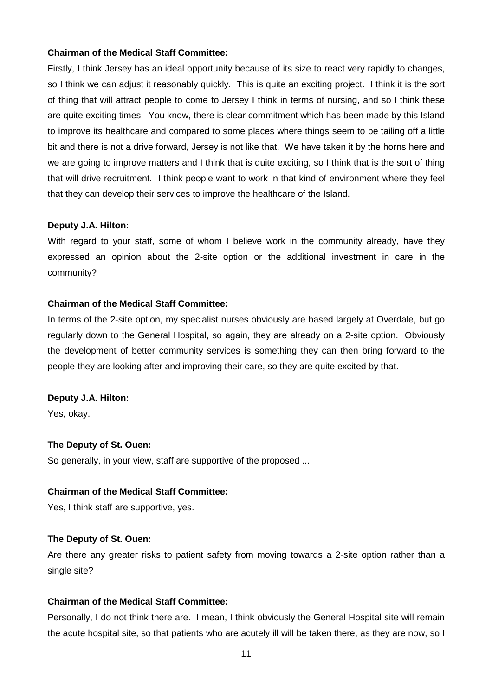Firstly, I think Jersey has an ideal opportunity because of its size to react very rapidly to changes, so I think we can adjust it reasonably quickly. This is quite an exciting project. I think it is the sort of thing that will attract people to come to Jersey I think in terms of nursing, and so I think these are quite exciting times. You know, there is clear commitment which has been made by this Island to improve its healthcare and compared to some places where things seem to be tailing off a little bit and there is not a drive forward, Jersey is not like that. We have taken it by the horns here and we are going to improve matters and I think that is quite exciting, so I think that is the sort of thing that will drive recruitment. I think people want to work in that kind of environment where they feel that they can develop their services to improve the healthcare of the Island.

#### **Deputy J.A. Hilton:**

With regard to your staff, some of whom I believe work in the community already, have they expressed an opinion about the 2-site option or the additional investment in care in the community?

# **Chairman of the Medical Staff Committee:**

In terms of the 2-site option, my specialist nurses obviously are based largely at Overdale, but go regularly down to the General Hospital, so again, they are already on a 2-site option. Obviously the development of better community services is something they can then bring forward to the people they are looking after and improving their care, so they are quite excited by that.

#### **Deputy J.A. Hilton:**

Yes, okay.

#### **The Deputy of St. Ouen:**

So generally, in your view, staff are supportive of the proposed ...

# **Chairman of the Medical Staff Committee:**

Yes, I think staff are supportive, yes.

#### **The Deputy of St. Ouen:**

Are there any greater risks to patient safety from moving towards a 2-site option rather than a single site?

#### **Chairman of the Medical Staff Committee:**

Personally, I do not think there are. I mean, I think obviously the General Hospital site will remain the acute hospital site, so that patients who are acutely ill will be taken there, as they are now, so I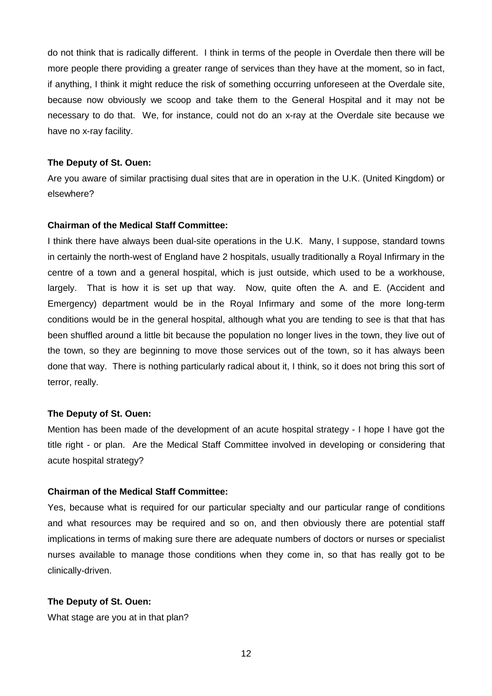do not think that is radically different. I think in terms of the people in Overdale then there will be more people there providing a greater range of services than they have at the moment, so in fact, if anything, I think it might reduce the risk of something occurring unforeseen at the Overdale site, because now obviously we scoop and take them to the General Hospital and it may not be necessary to do that. We, for instance, could not do an x-ray at the Overdale site because we have no x-ray facility.

#### **The Deputy of St. Ouen:**

Are you aware of similar practising dual sites that are in operation in the U.K. (United Kingdom) or elsewhere?

#### **Chairman of the Medical Staff Committee:**

I think there have always been dual-site operations in the U.K. Many, I suppose, standard towns in certainly the north-west of England have 2 hospitals, usually traditionally a Royal Infirmary in the centre of a town and a general hospital, which is just outside, which used to be a workhouse, largely. That is how it is set up that way. Now, quite often the A. and E. (Accident and Emergency) department would be in the Royal Infirmary and some of the more long-term conditions would be in the general hospital, although what you are tending to see is that that has been shuffled around a little bit because the population no longer lives in the town, they live out of the town, so they are beginning to move those services out of the town, so it has always been done that way. There is nothing particularly radical about it, I think, so it does not bring this sort of terror, really.

#### **The Deputy of St. Ouen:**

Mention has been made of the development of an acute hospital strategy - I hope I have got the title right - or plan. Are the Medical Staff Committee involved in developing or considering that acute hospital strategy?

#### **Chairman of the Medical Staff Committee:**

Yes, because what is required for our particular specialty and our particular range of conditions and what resources may be required and so on, and then obviously there are potential staff implications in terms of making sure there are adequate numbers of doctors or nurses or specialist nurses available to manage those conditions when they come in, so that has really got to be clinically-driven.

#### **The Deputy of St. Ouen:**

What stage are you at in that plan?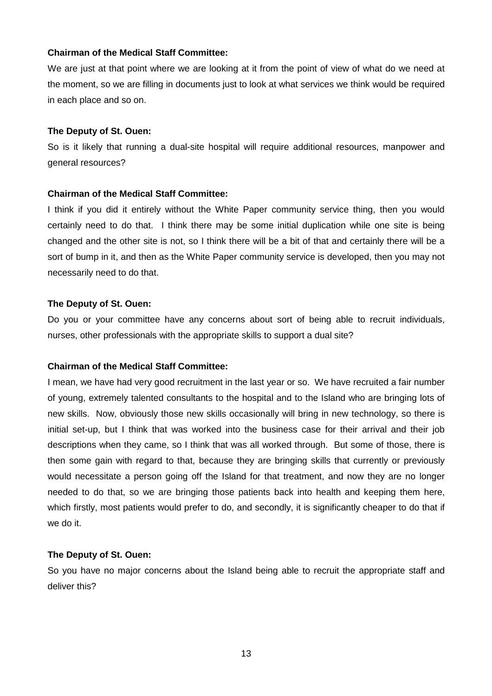We are just at that point where we are looking at it from the point of view of what do we need at the moment, so we are filling in documents just to look at what services we think would be required in each place and so on.

# **The Deputy of St. Ouen:**

So is it likely that running a dual-site hospital will require additional resources, manpower and general resources?

# **Chairman of the Medical Staff Committee:**

I think if you did it entirely without the White Paper community service thing, then you would certainly need to do that. I think there may be some initial duplication while one site is being changed and the other site is not, so I think there will be a bit of that and certainly there will be a sort of bump in it, and then as the White Paper community service is developed, then you may not necessarily need to do that.

# **The Deputy of St. Ouen:**

Do you or your committee have any concerns about sort of being able to recruit individuals, nurses, other professionals with the appropriate skills to support a dual site?

# **Chairman of the Medical Staff Committee:**

I mean, we have had very good recruitment in the last year or so. We have recruited a fair number of young, extremely talented consultants to the hospital and to the Island who are bringing lots of new skills. Now, obviously those new skills occasionally will bring in new technology, so there is initial set-up, but I think that was worked into the business case for their arrival and their job descriptions when they came, so I think that was all worked through. But some of those, there is then some gain with regard to that, because they are bringing skills that currently or previously would necessitate a person going off the Island for that treatment, and now they are no longer needed to do that, so we are bringing those patients back into health and keeping them here, which firstly, most patients would prefer to do, and secondly, it is significantly cheaper to do that if we do it.

# **The Deputy of St. Ouen:**

So you have no major concerns about the Island being able to recruit the appropriate staff and deliver this?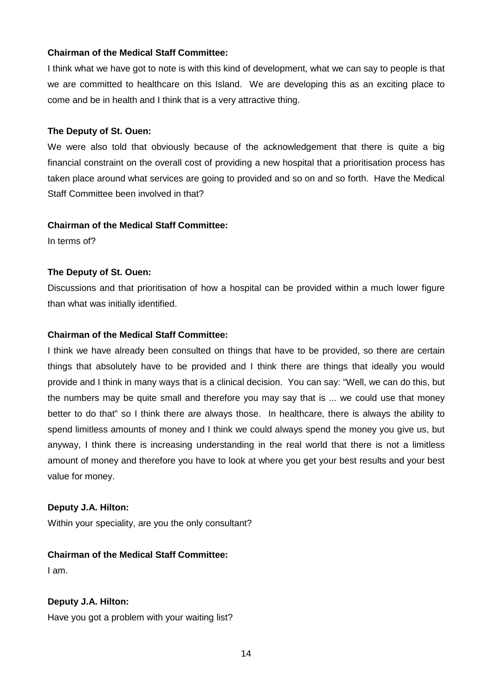I think what we have got to note is with this kind of development, what we can say to people is that we are committed to healthcare on this Island. We are developing this as an exciting place to come and be in health and I think that is a very attractive thing.

#### **The Deputy of St. Ouen:**

We were also told that obviously because of the acknowledgement that there is quite a big financial constraint on the overall cost of providing a new hospital that a prioritisation process has taken place around what services are going to provided and so on and so forth. Have the Medical Staff Committee been involved in that?

#### **Chairman of the Medical Staff Committee:**

In terms of?

# **The Deputy of St. Ouen:**

Discussions and that prioritisation of how a hospital can be provided within a much lower figure than what was initially identified.

# **Chairman of the Medical Staff Committee:**

I think we have already been consulted on things that have to be provided, so there are certain things that absolutely have to be provided and I think there are things that ideally you would provide and I think in many ways that is a clinical decision. You can say: "Well, we can do this, but the numbers may be quite small and therefore you may say that is ... we could use that money better to do that" so I think there are always those. In healthcare, there is always the ability to spend limitless amounts of money and I think we could always spend the money you give us, but anyway, I think there is increasing understanding in the real world that there is not a limitless amount of money and therefore you have to look at where you get your best results and your best value for money.

# **Deputy J.A. Hilton:**

Within your speciality, are you the only consultant?

# **Chairman of the Medical Staff Committee:**

I am.

# **Deputy J.A. Hilton:**

Have you got a problem with your waiting list?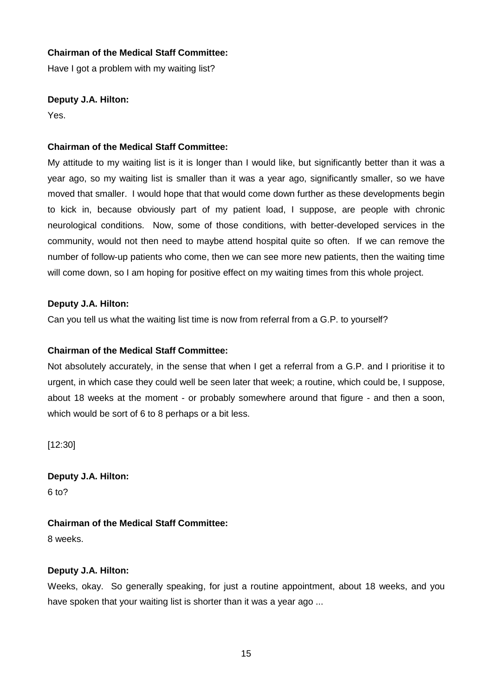Have I got a problem with my waiting list?

# **Deputy J.A. Hilton:**

Yes.

# **Chairman of the Medical Staff Committee:**

My attitude to my waiting list is it is longer than I would like, but significantly better than it was a year ago, so my waiting list is smaller than it was a year ago, significantly smaller, so we have moved that smaller. I would hope that that would come down further as these developments begin to kick in, because obviously part of my patient load, I suppose, are people with chronic neurological conditions. Now, some of those conditions, with better-developed services in the community, would not then need to maybe attend hospital quite so often. If we can remove the number of follow-up patients who come, then we can see more new patients, then the waiting time will come down, so I am hoping for positive effect on my waiting times from this whole project.

# **Deputy J.A. Hilton:**

Can you tell us what the waiting list time is now from referral from a G.P. to yourself?

# **Chairman of the Medical Staff Committee:**

Not absolutely accurately, in the sense that when I get a referral from a G.P. and I prioritise it to urgent, in which case they could well be seen later that week; a routine, which could be, I suppose, about 18 weeks at the moment - or probably somewhere around that figure - and then a soon, which would be sort of 6 to 8 perhaps or a bit less.

[12:30]

**Deputy J.A. Hilton:** 6 to?

# **Chairman of the Medical Staff Committee:**

8 weeks.

# **Deputy J.A. Hilton:**

Weeks, okay. So generally speaking, for just a routine appointment, about 18 weeks, and you have spoken that your waiting list is shorter than it was a year ago ...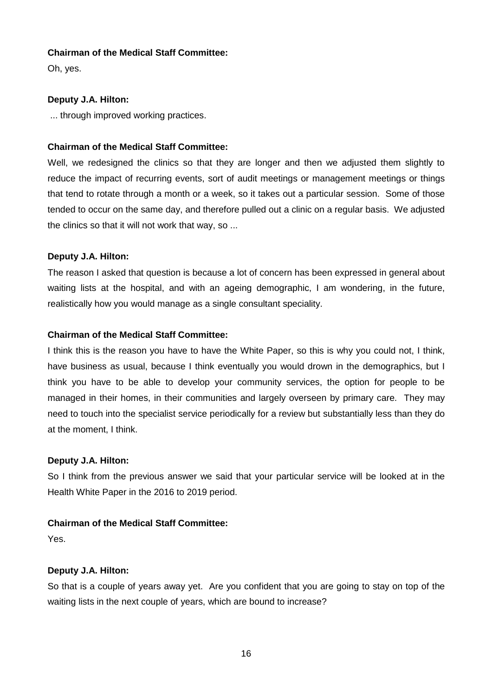Oh, yes.

# **Deputy J.A. Hilton:**

... through improved working practices.

# **Chairman of the Medical Staff Committee:**

Well, we redesigned the clinics so that they are longer and then we adjusted them slightly to reduce the impact of recurring events, sort of audit meetings or management meetings or things that tend to rotate through a month or a week, so it takes out a particular session. Some of those tended to occur on the same day, and therefore pulled out a clinic on a regular basis. We adjusted the clinics so that it will not work that way, so ...

# **Deputy J.A. Hilton:**

The reason I asked that question is because a lot of concern has been expressed in general about waiting lists at the hospital, and with an ageing demographic, I am wondering, in the future, realistically how you would manage as a single consultant speciality.

# **Chairman of the Medical Staff Committee:**

I think this is the reason you have to have the White Paper, so this is why you could not, I think, have business as usual, because I think eventually you would drown in the demographics, but I think you have to be able to develop your community services, the option for people to be managed in their homes, in their communities and largely overseen by primary care. They may need to touch into the specialist service periodically for a review but substantially less than they do at the moment, I think.

# **Deputy J.A. Hilton:**

So I think from the previous answer we said that your particular service will be looked at in the Health White Paper in the 2016 to 2019 period.

# **Chairman of the Medical Staff Committee:**

Yes.

# **Deputy J.A. Hilton:**

So that is a couple of years away yet. Are you confident that you are going to stay on top of the waiting lists in the next couple of years, which are bound to increase?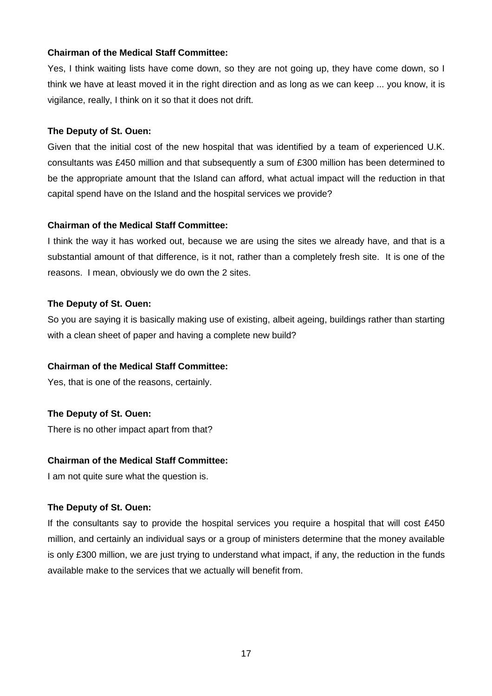Yes, I think waiting lists have come down, so they are not going up, they have come down, so I think we have at least moved it in the right direction and as long as we can keep ... you know, it is vigilance, really, I think on it so that it does not drift.

# **The Deputy of St. Ouen:**

Given that the initial cost of the new hospital that was identified by a team of experienced U.K. consultants was £450 million and that subsequently a sum of £300 million has been determined to be the appropriate amount that the Island can afford, what actual impact will the reduction in that capital spend have on the Island and the hospital services we provide?

# **Chairman of the Medical Staff Committee:**

I think the way it has worked out, because we are using the sites we already have, and that is a substantial amount of that difference, is it not, rather than a completely fresh site. It is one of the reasons. I mean, obviously we do own the 2 sites.

# **The Deputy of St. Ouen:**

So you are saying it is basically making use of existing, albeit ageing, buildings rather than starting with a clean sheet of paper and having a complete new build?

# **Chairman of the Medical Staff Committee:**

Yes, that is one of the reasons, certainly.

# **The Deputy of St. Ouen:**

There is no other impact apart from that?

# **Chairman of the Medical Staff Committee:**

I am not quite sure what the question is.

# **The Deputy of St. Ouen:**

If the consultants say to provide the hospital services you require a hospital that will cost £450 million, and certainly an individual says or a group of ministers determine that the money available is only £300 million, we are just trying to understand what impact, if any, the reduction in the funds available make to the services that we actually will benefit from.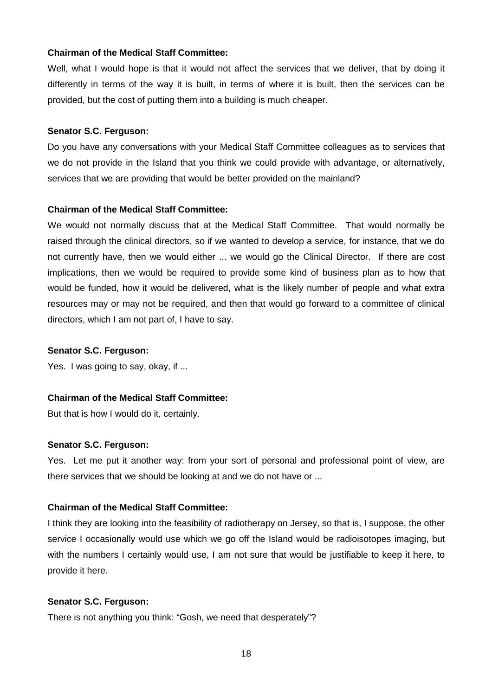Well, what I would hope is that it would not affect the services that we deliver, that by doing it differently in terms of the way it is built, in terms of where it is built, then the services can be provided, but the cost of putting them into a building is much cheaper.

#### **Senator S.C. Ferguson:**

Do you have any conversations with your Medical Staff Committee colleagues as to services that we do not provide in the Island that you think we could provide with advantage, or alternatively, services that we are providing that would be better provided on the mainland?

# **Chairman of the Medical Staff Committee:**

We would not normally discuss that at the Medical Staff Committee. That would normally be raised through the clinical directors, so if we wanted to develop a service, for instance, that we do not currently have, then we would either ... we would go the Clinical Director. If there are cost implications, then we would be required to provide some kind of business plan as to how that would be funded, how it would be delivered, what is the likely number of people and what extra resources may or may not be required, and then that would go forward to a committee of clinical directors, which I am not part of, I have to say.

# **Senator S.C. Ferguson:**

Yes. I was going to say, okay, if ...

# **Chairman of the Medical Staff Committee:**

But that is how I would do it, certainly.

#### **Senator S.C. Ferguson:**

Yes. Let me put it another way: from your sort of personal and professional point of view, are there services that we should be looking at and we do not have or ...

# **Chairman of the Medical Staff Committee:**

I think they are looking into the feasibility of radiotherapy on Jersey, so that is, I suppose, the other service I occasionally would use which we go off the Island would be radioisotopes imaging, but with the numbers I certainly would use, I am not sure that would be justifiable to keep it here, to provide it here.

#### **Senator S.C. Ferguson:**

There is not anything you think: "Gosh, we need that desperately"?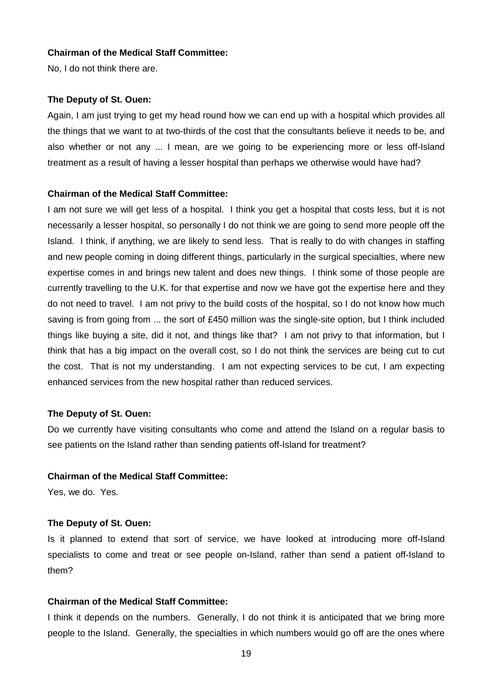No, I do not think there are.

#### **The Deputy of St. Ouen:**

Again, I am just trying to get my head round how we can end up with a hospital which provides all the things that we want to at two-thirds of the cost that the consultants believe it needs to be, and also whether or not any ... I mean, are we going to be experiencing more or less off-Island treatment as a result of having a lesser hospital than perhaps we otherwise would have had?

#### **Chairman of the Medical Staff Committee:**

I am not sure we will get less of a hospital. I think you get a hospital that costs less, but it is not necessarily a lesser hospital, so personally I do not think we are going to send more people off the Island. I think, if anything, we are likely to send less. That is really to do with changes in staffing and new people coming in doing different things, particularly in the surgical specialties, where new expertise comes in and brings new talent and does new things. I think some of those people are currently travelling to the U.K. for that expertise and now we have got the expertise here and they do not need to travel. I am not privy to the build costs of the hospital, so I do not know how much saving is from going from ... the sort of £450 million was the single-site option, but I think included things like buying a site, did it not, and things like that? I am not privy to that information, but I think that has a big impact on the overall cost, so I do not think the services are being cut to cut the cost. That is not my understanding. I am not expecting services to be cut, I am expecting enhanced services from the new hospital rather than reduced services.

#### **The Deputy of St. Ouen:**

Do we currently have visiting consultants who come and attend the Island on a regular basis to see patients on the Island rather than sending patients off-Island for treatment?

#### **Chairman of the Medical Staff Committee:**

Yes, we do. Yes.

#### **The Deputy of St. Ouen:**

Is it planned to extend that sort of service, we have looked at introducing more off-Island specialists to come and treat or see people on-Island, rather than send a patient off-Island to them?

# **Chairman of the Medical Staff Committee:**

I think it depends on the numbers. Generally, I do not think it is anticipated that we bring more people to the Island. Generally, the specialties in which numbers would go off are the ones where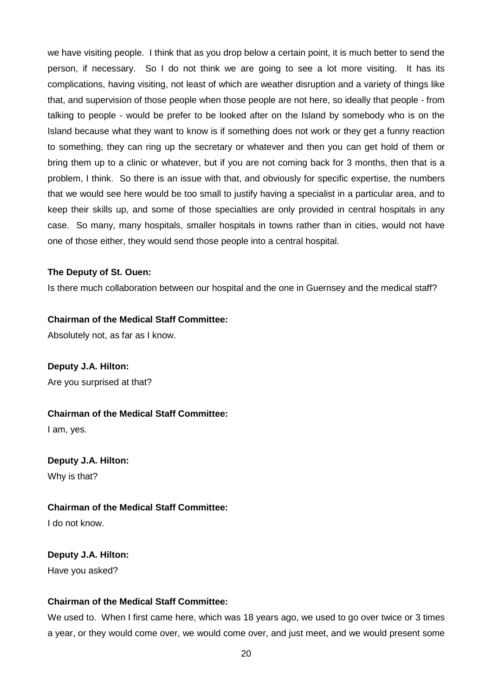we have visiting people. I think that as you drop below a certain point, it is much better to send the person, if necessary. So I do not think we are going to see a lot more visiting. It has its complications, having visiting, not least of which are weather disruption and a variety of things like that, and supervision of those people when those people are not here, so ideally that people - from talking to people - would be prefer to be looked after on the Island by somebody who is on the Island because what they want to know is if something does not work or they get a funny reaction to something, they can ring up the secretary or whatever and then you can get hold of them or bring them up to a clinic or whatever, but if you are not coming back for 3 months, then that is a problem, I think. So there is an issue with that, and obviously for specific expertise, the numbers that we would see here would be too small to justify having a specialist in a particular area, and to keep their skills up, and some of those specialties are only provided in central hospitals in any case. So many, many hospitals, smaller hospitals in towns rather than in cities, would not have one of those either, they would send those people into a central hospital.

#### **The Deputy of St. Ouen:**

Is there much collaboration between our hospital and the one in Guernsey and the medical staff?

#### **Chairman of the Medical Staff Committee:**

Absolutely not, as far as I know.

# **Deputy J.A. Hilton:**

Are you surprised at that?

#### **Chairman of the Medical Staff Committee:**

I am, yes.

# **Deputy J.A. Hilton:**

Why is that?

# **Chairman of the Medical Staff Committee:**

I do not know.

# **Deputy J.A. Hilton:**

Have you asked?

# **Chairman of the Medical Staff Committee:**

We used to. When I first came here, which was 18 years ago, we used to go over twice or 3 times a year, or they would come over, we would come over, and just meet, and we would present some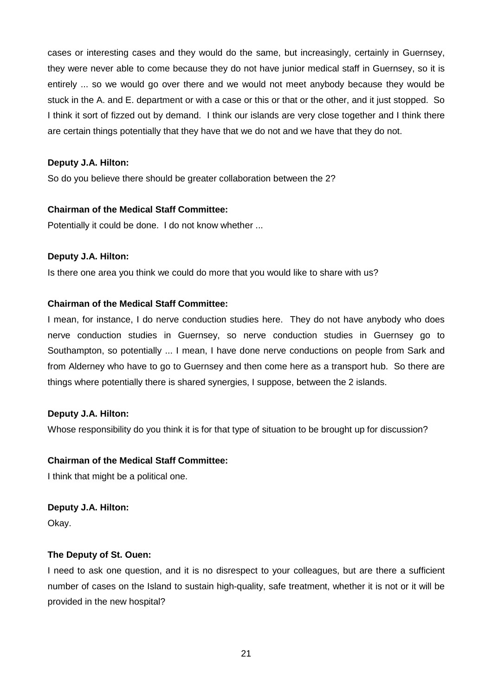cases or interesting cases and they would do the same, but increasingly, certainly in Guernsey, they were never able to come because they do not have junior medical staff in Guernsey, so it is entirely ... so we would go over there and we would not meet anybody because they would be stuck in the A. and E. department or with a case or this or that or the other, and it just stopped. So I think it sort of fizzed out by demand. I think our islands are very close together and I think there are certain things potentially that they have that we do not and we have that they do not.

# **Deputy J.A. Hilton:**

So do you believe there should be greater collaboration between the 2?

# **Chairman of the Medical Staff Committee:**

Potentially it could be done. I do not know whether ...

# **Deputy J.A. Hilton:**

Is there one area you think we could do more that you would like to share with us?

# **Chairman of the Medical Staff Committee:**

I mean, for instance, I do nerve conduction studies here. They do not have anybody who does nerve conduction studies in Guernsey, so nerve conduction studies in Guernsey go to Southampton, so potentially ... I mean, I have done nerve conductions on people from Sark and from Alderney who have to go to Guernsey and then come here as a transport hub. So there are things where potentially there is shared synergies, I suppose, between the 2 islands.

# **Deputy J.A. Hilton:**

Whose responsibility do you think it is for that type of situation to be brought up for discussion?

# **Chairman of the Medical Staff Committee:**

I think that might be a political one.

# **Deputy J.A. Hilton:**

Okay.

# **The Deputy of St. Ouen:**

I need to ask one question, and it is no disrespect to your colleagues, but are there a sufficient number of cases on the Island to sustain high-quality, safe treatment, whether it is not or it will be provided in the new hospital?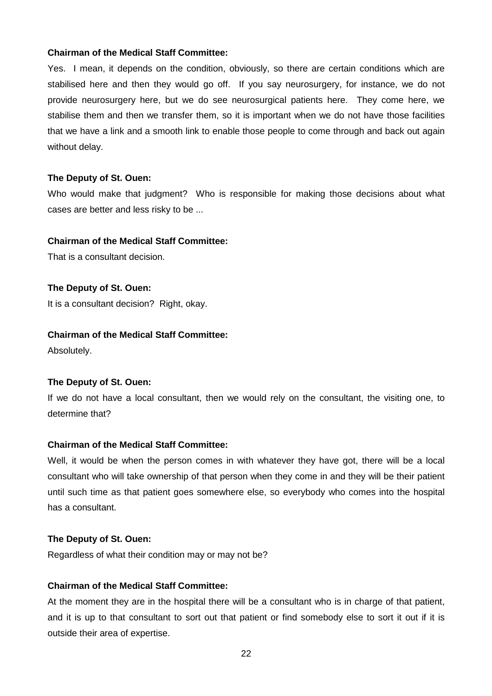Yes. I mean, it depends on the condition, obviously, so there are certain conditions which are stabilised here and then they would go off. If you say neurosurgery, for instance, we do not provide neurosurgery here, but we do see neurosurgical patients here. They come here, we stabilise them and then we transfer them, so it is important when we do not have those facilities that we have a link and a smooth link to enable those people to come through and back out again without delay.

#### **The Deputy of St. Ouen:**

Who would make that judgment? Who is responsible for making those decisions about what cases are better and less risky to be ...

#### **Chairman of the Medical Staff Committee:**

That is a consultant decision.

#### **The Deputy of St. Ouen:**

It is a consultant decision? Right, okay.

# **Chairman of the Medical Staff Committee:**

Absolutely.

# **The Deputy of St. Ouen:**

If we do not have a local consultant, then we would rely on the consultant, the visiting one, to determine that?

# **Chairman of the Medical Staff Committee:**

Well, it would be when the person comes in with whatever they have got, there will be a local consultant who will take ownership of that person when they come in and they will be their patient until such time as that patient goes somewhere else, so everybody who comes into the hospital has a consultant.

#### **The Deputy of St. Ouen:**

Regardless of what their condition may or may not be?

# **Chairman of the Medical Staff Committee:**

At the moment they are in the hospital there will be a consultant who is in charge of that patient, and it is up to that consultant to sort out that patient or find somebody else to sort it out if it is outside their area of expertise.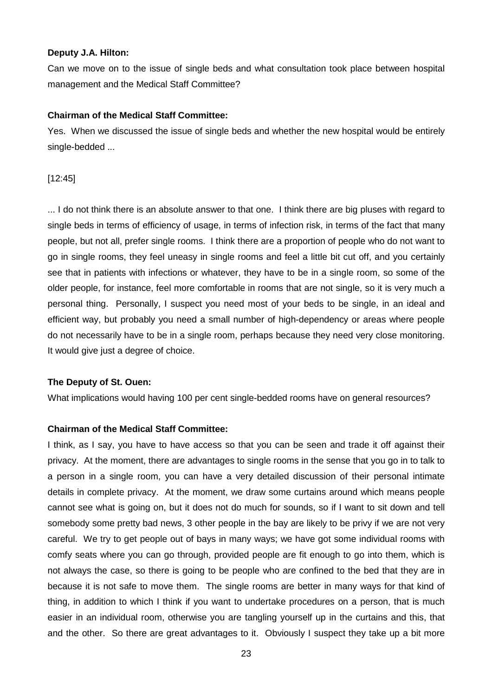#### **Deputy J.A. Hilton:**

Can we move on to the issue of single beds and what consultation took place between hospital management and the Medical Staff Committee?

# **Chairman of the Medical Staff Committee:**

Yes. When we discussed the issue of single beds and whether the new hospital would be entirely single-bedded ...

# [12:45]

... I do not think there is an absolute answer to that one. I think there are big pluses with regard to single beds in terms of efficiency of usage, in terms of infection risk, in terms of the fact that many people, but not all, prefer single rooms. I think there are a proportion of people who do not want to go in single rooms, they feel uneasy in single rooms and feel a little bit cut off, and you certainly see that in patients with infections or whatever, they have to be in a single room, so some of the older people, for instance, feel more comfortable in rooms that are not single, so it is very much a personal thing. Personally, I suspect you need most of your beds to be single, in an ideal and efficient way, but probably you need a small number of high-dependency or areas where people do not necessarily have to be in a single room, perhaps because they need very close monitoring. It would give just a degree of choice.

# **The Deputy of St. Ouen:**

What implications would having 100 per cent single-bedded rooms have on general resources?

# **Chairman of the Medical Staff Committee:**

I think, as I say, you have to have access so that you can be seen and trade it off against their privacy. At the moment, there are advantages to single rooms in the sense that you go in to talk to a person in a single room, you can have a very detailed discussion of their personal intimate details in complete privacy. At the moment, we draw some curtains around which means people cannot see what is going on, but it does not do much for sounds, so if I want to sit down and tell somebody some pretty bad news, 3 other people in the bay are likely to be privy if we are not very careful. We try to get people out of bays in many ways; we have got some individual rooms with comfy seats where you can go through, provided people are fit enough to go into them, which is not always the case, so there is going to be people who are confined to the bed that they are in because it is not safe to move them. The single rooms are better in many ways for that kind of thing, in addition to which I think if you want to undertake procedures on a person, that is much easier in an individual room, otherwise you are tangling yourself up in the curtains and this, that and the other. So there are great advantages to it. Obviously I suspect they take up a bit more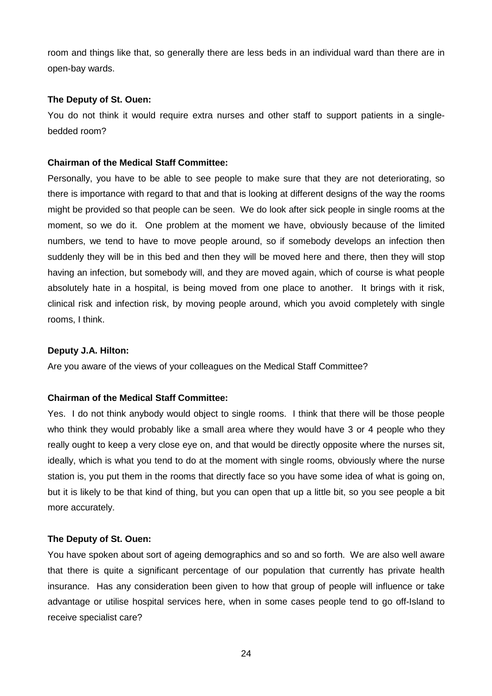room and things like that, so generally there are less beds in an individual ward than there are in open-bay wards.

# **The Deputy of St. Ouen:**

You do not think it would require extra nurses and other staff to support patients in a singlebedded room?

# **Chairman of the Medical Staff Committee:**

Personally, you have to be able to see people to make sure that they are not deteriorating, so there is importance with regard to that and that is looking at different designs of the way the rooms might be provided so that people can be seen. We do look after sick people in single rooms at the moment, so we do it. One problem at the moment we have, obviously because of the limited numbers, we tend to have to move people around, so if somebody develops an infection then suddenly they will be in this bed and then they will be moved here and there, then they will stop having an infection, but somebody will, and they are moved again, which of course is what people absolutely hate in a hospital, is being moved from one place to another. It brings with it risk, clinical risk and infection risk, by moving people around, which you avoid completely with single rooms, I think.

# **Deputy J.A. Hilton:**

Are you aware of the views of your colleagues on the Medical Staff Committee?

# **Chairman of the Medical Staff Committee:**

Yes. I do not think anybody would object to single rooms. I think that there will be those people who think they would probably like a small area where they would have 3 or 4 people who they really ought to keep a very close eye on, and that would be directly opposite where the nurses sit, ideally, which is what you tend to do at the moment with single rooms, obviously where the nurse station is, you put them in the rooms that directly face so you have some idea of what is going on, but it is likely to be that kind of thing, but you can open that up a little bit, so you see people a bit more accurately.

#### **The Deputy of St. Ouen:**

You have spoken about sort of ageing demographics and so and so forth. We are also well aware that there is quite a significant percentage of our population that currently has private health insurance. Has any consideration been given to how that group of people will influence or take advantage or utilise hospital services here, when in some cases people tend to go off-Island to receive specialist care?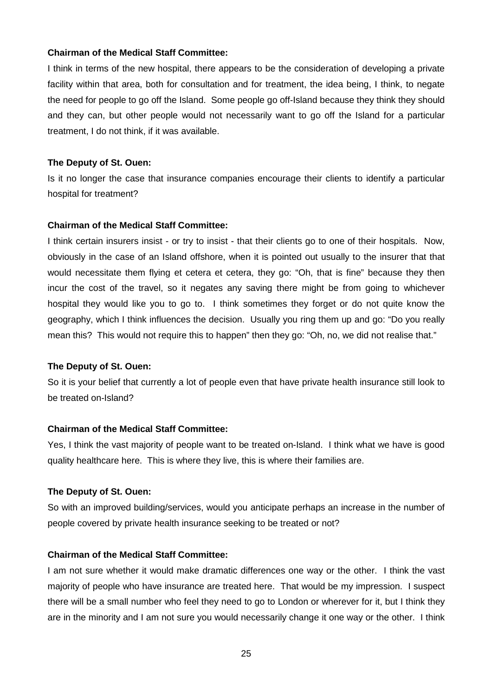I think in terms of the new hospital, there appears to be the consideration of developing a private facility within that area, both for consultation and for treatment, the idea being, I think, to negate the need for people to go off the Island. Some people go off-Island because they think they should and they can, but other people would not necessarily want to go off the Island for a particular treatment, I do not think, if it was available.

# **The Deputy of St. Ouen:**

Is it no longer the case that insurance companies encourage their clients to identify a particular hospital for treatment?

#### **Chairman of the Medical Staff Committee:**

I think certain insurers insist - or try to insist - that their clients go to one of their hospitals. Now, obviously in the case of an Island offshore, when it is pointed out usually to the insurer that that would necessitate them flying et cetera et cetera, they go: "Oh, that is fine" because they then incur the cost of the travel, so it negates any saving there might be from going to whichever hospital they would like you to go to. I think sometimes they forget or do not quite know the geography, which I think influences the decision. Usually you ring them up and go: "Do you really mean this? This would not require this to happen" then they go: "Oh, no, we did not realise that."

#### **The Deputy of St. Ouen:**

So it is your belief that currently a lot of people even that have private health insurance still look to be treated on-Island?

# **Chairman of the Medical Staff Committee:**

Yes, I think the vast majority of people want to be treated on-Island. I think what we have is good quality healthcare here. This is where they live, this is where their families are.

# **The Deputy of St. Ouen:**

So with an improved building/services, would you anticipate perhaps an increase in the number of people covered by private health insurance seeking to be treated or not?

# **Chairman of the Medical Staff Committee:**

I am not sure whether it would make dramatic differences one way or the other. I think the vast majority of people who have insurance are treated here. That would be my impression. I suspect there will be a small number who feel they need to go to London or wherever for it, but I think they are in the minority and I am not sure you would necessarily change it one way or the other. I think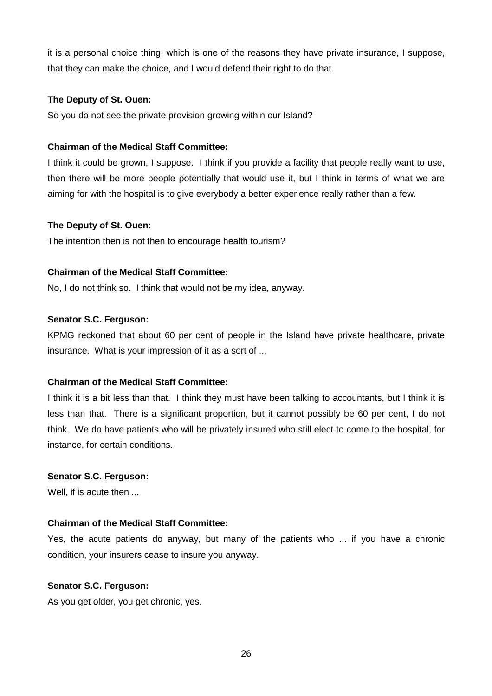it is a personal choice thing, which is one of the reasons they have private insurance, I suppose, that they can make the choice, and I would defend their right to do that.

# **The Deputy of St. Ouen:**

So you do not see the private provision growing within our Island?

# **Chairman of the Medical Staff Committee:**

I think it could be grown, I suppose. I think if you provide a facility that people really want to use, then there will be more people potentially that would use it, but I think in terms of what we are aiming for with the hospital is to give everybody a better experience really rather than a few.

# **The Deputy of St. Ouen:**

The intention then is not then to encourage health tourism?

#### **Chairman of the Medical Staff Committee:**

No, I do not think so. I think that would not be my idea, anyway.

#### **Senator S.C. Ferguson:**

KPMG reckoned that about 60 per cent of people in the Island have private healthcare, private insurance. What is your impression of it as a sort of ...

# **Chairman of the Medical Staff Committee:**

I think it is a bit less than that. I think they must have been talking to accountants, but I think it is less than that. There is a significant proportion, but it cannot possibly be 60 per cent, I do not think. We do have patients who will be privately insured who still elect to come to the hospital, for instance, for certain conditions.

# **Senator S.C. Ferguson:**

Well, if is acute then ...

# **Chairman of the Medical Staff Committee:**

Yes, the acute patients do anyway, but many of the patients who ... if you have a chronic condition, your insurers cease to insure you anyway.

#### **Senator S.C. Ferguson:**

As you get older, you get chronic, yes.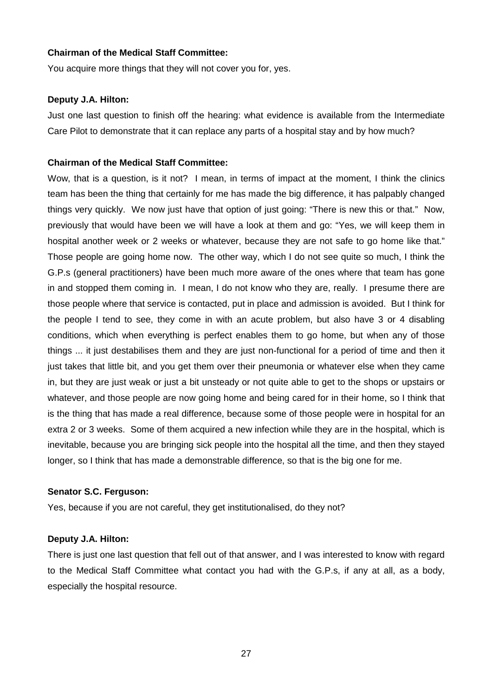You acquire more things that they will not cover you for, yes.

#### **Deputy J.A. Hilton:**

Just one last question to finish off the hearing: what evidence is available from the Intermediate Care Pilot to demonstrate that it can replace any parts of a hospital stay and by how much?

# **Chairman of the Medical Staff Committee:**

Wow, that is a question, is it not? I mean, in terms of impact at the moment, I think the clinics team has been the thing that certainly for me has made the big difference, it has palpably changed things very quickly. We now just have that option of just going: "There is new this or that." Now, previously that would have been we will have a look at them and go: "Yes, we will keep them in hospital another week or 2 weeks or whatever, because they are not safe to go home like that." Those people are going home now. The other way, which I do not see quite so much, I think the G.P.s (general practitioners) have been much more aware of the ones where that team has gone in and stopped them coming in. I mean, I do not know who they are, really. I presume there are those people where that service is contacted, put in place and admission is avoided. But I think for the people I tend to see, they come in with an acute problem, but also have 3 or 4 disabling conditions, which when everything is perfect enables them to go home, but when any of those things ... it just destabilises them and they are just non-functional for a period of time and then it just takes that little bit, and you get them over their pneumonia or whatever else when they came in, but they are just weak or just a bit unsteady or not quite able to get to the shops or upstairs or whatever, and those people are now going home and being cared for in their home, so I think that is the thing that has made a real difference, because some of those people were in hospital for an extra 2 or 3 weeks. Some of them acquired a new infection while they are in the hospital, which is inevitable, because you are bringing sick people into the hospital all the time, and then they stayed longer, so I think that has made a demonstrable difference, so that is the big one for me.

# **Senator S.C. Ferguson:**

Yes, because if you are not careful, they get institutionalised, do they not?

# **Deputy J.A. Hilton:**

There is just one last question that fell out of that answer, and I was interested to know with regard to the Medical Staff Committee what contact you had with the G.P.s, if any at all, as a body, especially the hospital resource.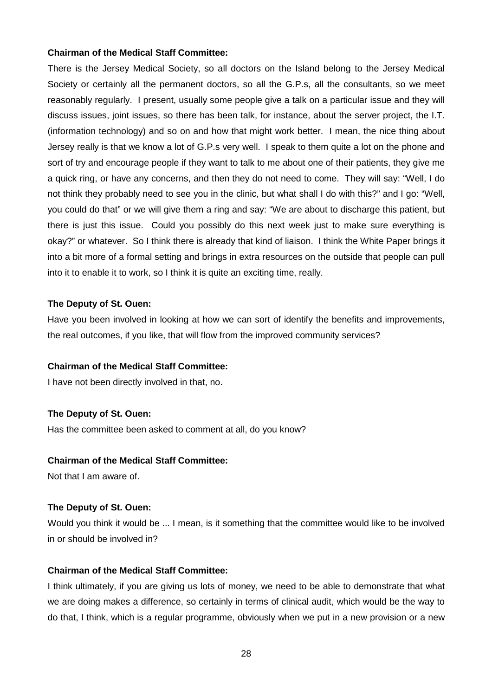There is the Jersey Medical Society, so all doctors on the Island belong to the Jersey Medical Society or certainly all the permanent doctors, so all the G.P.s, all the consultants, so we meet reasonably regularly. I present, usually some people give a talk on a particular issue and they will discuss issues, joint issues, so there has been talk, for instance, about the server project, the I.T. (information technology) and so on and how that might work better. I mean, the nice thing about Jersey really is that we know a lot of G.P.s very well. I speak to them quite a lot on the phone and sort of try and encourage people if they want to talk to me about one of their patients, they give me a quick ring, or have any concerns, and then they do not need to come. They will say: "Well, I do not think they probably need to see you in the clinic, but what shall I do with this?" and I go: "Well, you could do that" or we will give them a ring and say: "We are about to discharge this patient, but there is just this issue. Could you possibly do this next week just to make sure everything is okay?" or whatever. So I think there is already that kind of liaison. I think the White Paper brings it into a bit more of a formal setting and brings in extra resources on the outside that people can pull into it to enable it to work, so I think it is quite an exciting time, really.

#### **The Deputy of St. Ouen:**

Have you been involved in looking at how we can sort of identify the benefits and improvements, the real outcomes, if you like, that will flow from the improved community services?

# **Chairman of the Medical Staff Committee:**

I have not been directly involved in that, no.

#### **The Deputy of St. Ouen:**

Has the committee been asked to comment at all, do you know?

#### **Chairman of the Medical Staff Committee:**

Not that I am aware of.

#### **The Deputy of St. Ouen:**

Would you think it would be ... I mean, is it something that the committee would like to be involved in or should be involved in?

# **Chairman of the Medical Staff Committee:**

I think ultimately, if you are giving us lots of money, we need to be able to demonstrate that what we are doing makes a difference, so certainly in terms of clinical audit, which would be the way to do that, I think, which is a regular programme, obviously when we put in a new provision or a new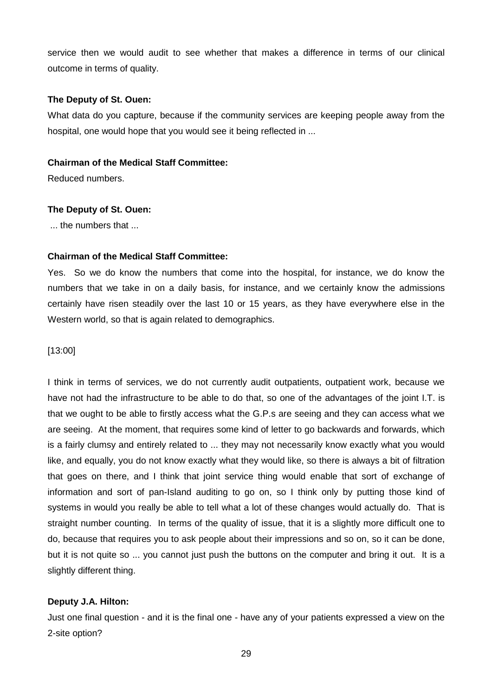service then we would audit to see whether that makes a difference in terms of our clinical outcome in terms of quality.

# **The Deputy of St. Ouen:**

What data do you capture, because if the community services are keeping people away from the hospital, one would hope that you would see it being reflected in ...

#### **Chairman of the Medical Staff Committee:**

Reduced numbers.

#### **The Deputy of St. Ouen:**

... the numbers that ...

# **Chairman of the Medical Staff Committee:**

Yes. So we do know the numbers that come into the hospital, for instance, we do know the numbers that we take in on a daily basis, for instance, and we certainly know the admissions certainly have risen steadily over the last 10 or 15 years, as they have everywhere else in the Western world, so that is again related to demographics.

# [13:00]

I think in terms of services, we do not currently audit outpatients, outpatient work, because we have not had the infrastructure to be able to do that, so one of the advantages of the joint I.T. is that we ought to be able to firstly access what the G.P.s are seeing and they can access what we are seeing. At the moment, that requires some kind of letter to go backwards and forwards, which is a fairly clumsy and entirely related to ... they may not necessarily know exactly what you would like, and equally, you do not know exactly what they would like, so there is always a bit of filtration that goes on there, and I think that joint service thing would enable that sort of exchange of information and sort of pan-Island auditing to go on, so I think only by putting those kind of systems in would you really be able to tell what a lot of these changes would actually do. That is straight number counting. In terms of the quality of issue, that it is a slightly more difficult one to do, because that requires you to ask people about their impressions and so on, so it can be done, but it is not quite so ... you cannot just push the buttons on the computer and bring it out. It is a slightly different thing.

# **Deputy J.A. Hilton:**

Just one final question - and it is the final one - have any of your patients expressed a view on the 2-site option?